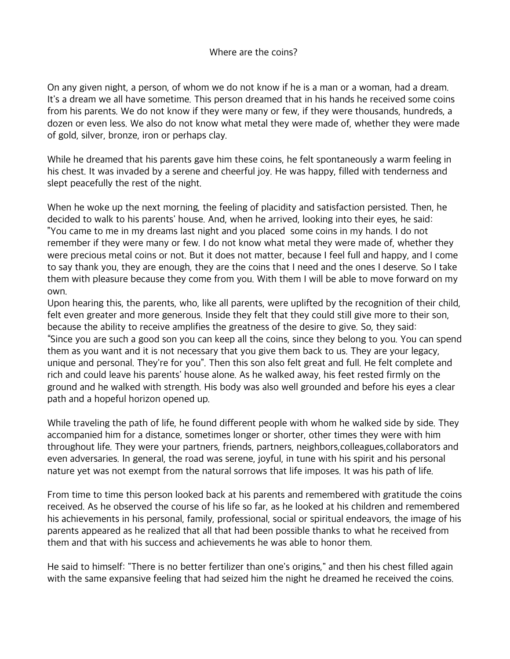## Where are the coins?

On any given night, a person, of whom we do not know if he is a man or a woman, had a dream. It's a dream we all have sometime. This person dreamed that in his hands he received some coins from his parents. We do not know if they were many or few, if they were thousands, hundreds, a dozen or even less. We also do not know what metal they were made of, whether they were made of gold, silver, bronze, iron or perhaps clay.

While he dreamed that his parents gave him these coins, he felt spontaneously a warm feeling in his chest. It was invaded by a serene and cheerful joy. He was happy, filled with tenderness and slept peacefully the rest of the night.

When he woke up the next morning, the feeling of placidity and satisfaction persisted. Then, he decided to walk to his parents' house. And, when he arrived, looking into their eyes, he said: "You came to me in my dreams last night and you placed some coins in my hands. I do not remember if they were many or few. I do not know what metal they were made of, whether they were precious metal coins or not. But it does not matter, because I feel full and happy, and I come to say thank you, they are enough, they are the coins that I need and the ones I deserve. So I take them with pleasure because they come from you. With them I will be able to move forward on my own.

Upon hearing this, the parents, who, like all parents, were uplifted by the recognition of their child, felt even greater and more generous. Inside they felt that they could still give more to their son, because the ability to receive amplifies the greatness of the desire to give. So, they said: "Since you are such a good son you can keep all the coins, since they belong to you. You can spend them as you want and it is not necessary that you give them back to us. They are your legacy, unique and personal. They're for you". Then this son also felt great and full. He felt complete and rich and could leave his parents' house alone. As he walked away, his feet rested firmly on the ground and he walked with strength. His body was also well grounded and before his eyes a clear path and a hopeful horizon opened up.

While traveling the path of life, he found different people with whom he walked side by side. They accompanied him for a distance, sometimes longer or shorter, other times they were with him throughout life. They were your partners, friends, partners, neighbors,colleagues,collaborators and even adversaries. In general, the road was serene, joyful, in tune with his spirit and his personal nature yet was not exempt from the natural sorrows that life imposes. It was his path of life.

From time to time this person looked back at his parents and remembered with gratitude the coins received. As he observed the course of his life so far, as he looked at his children and remembered his achievements in his personal, family, professional, social or spiritual endeavors, the image of his parents appeared as he realized that all that had been possible thanks to what he received from them and that with his success and achievements he was able to honor them.

He said to himself: "There is no better fertilizer than one's origins," and then his chest filled again with the same expansive feeling that had seized him the night he dreamed he received the coins.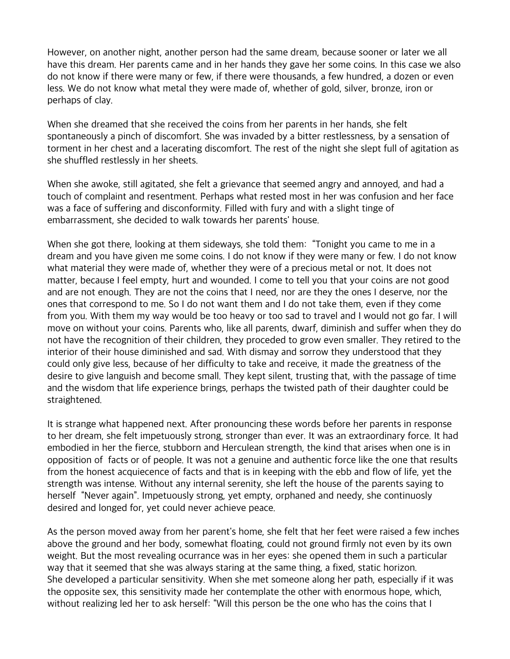However, on another night, another person had the same dream, because sooner or later we all have this dream. Her parents came and in her hands they gave her some coins. In this case we also do not know if there were many or few, if there were thousands, a few hundred, a dozen or even less. We do not know what metal they were made of, whether of gold, silver, bronze, iron or perhaps of clay.

When she dreamed that she received the coins from her parents in her hands, she felt spontaneously a pinch of discomfort. She was invaded by a bitter restlessness, by a sensation of torment in her chest and a lacerating discomfort. The rest of the night she slept full of agitation as she shuffled restlessly in her sheets.

When she awoke, still agitated, she felt a grievance that seemed angry and annoyed, and had a touch of complaint and resentment. Perhaps what rested most in her was confusion and her face was a face of suffering and disconformity. Filled with fury and with a slight tinge of embarrassment, she decided to walk towards her parents' house.

When she got there, looking at them sideways, she told them: "Tonight you came to me in a dream and you have given me some coins. I do not know if they were many or few. I do not know what material they were made of, whether they were of a precious metal or not. It does not matter, because I feel empty, hurt and wounded. I come to tell you that your coins are not good and are not enough. They are not the coins that I need, nor are they the ones I deserve, nor the ones that correspond to me. So I do not want them and I do not take them, even if they come from you. With them my way would be too heavy or too sad to travel and I would not go far. I will move on without your coins. Parents who, like all parents, dwarf, diminish and suffer when they do not have the recognition of their children, they proceded to grow even smaller. They retired to the interior of their house diminished and sad. With dismay and sorrow they understood that they could only give less, because of her difficulty to take and receive, it made the greatness of the desire to give languish and become small. They kept silent, trusting that, with the passage of time and the wisdom that life experience brings, perhaps the twisted path of their daughter could be straightened.

It is strange what happened next. After pronouncing these words before her parents in response to her dream, she felt impetuously strong, stronger than ever. It was an extraordinary force. It had embodied in her the fierce, stubborn and Herculean strength, the kind that arises when one is in opposition of facts or of people. It was not a genuine and authentic force like the one that results from the honest acquiecence of facts and that is in keeping with the ebb and flow of life, yet the strength was intense. Without any internal serenity, she left the house of the parents saying to herself "Never again". Impetuously strong, yet empty, orphaned and needy, she continuosly desired and longed for, yet could never achieve peace.

As the person moved away from her parent's home, she felt that her feet were raised a few inches above the ground and her body, somewhat floating, could not ground firmly not even by its own weight. But the most revealing ocurrance was in her eyes: she opened them in such a particular way that it seemed that she was always staring at the same thing, a fixed, static horizon. She developed a particular sensitivity. When she met someone along her path, especially if it was the opposite sex, this sensitivity made her contemplate the other with enormous hope, which, without realizing led her to ask herself: "Will this person be the one who has the coins that I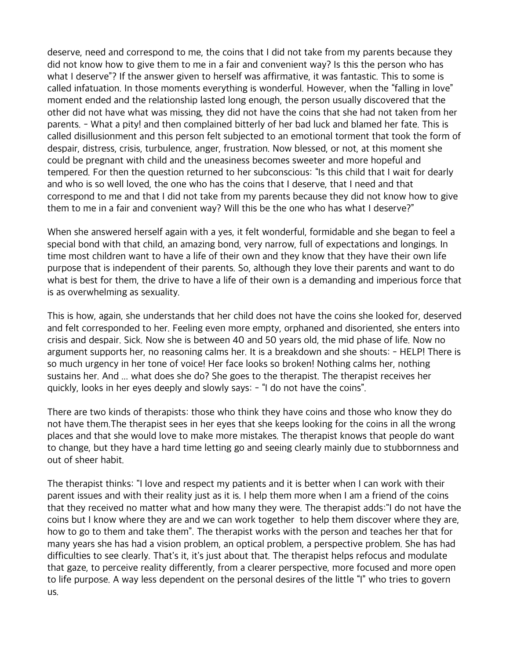deserve, need and correspond to me, the coins that I did not take from my parents because they did not know how to give them to me in a fair and convenient way? Is this the person who has what I deserve"? If the answer given to herself was affirmative, it was fantastic. This to some is called infatuation. In those moments everything is wonderful. However, when the "falling in love" moment ended and the relationship lasted long enough, the person usually discovered that the other did not have what was missing, they did not have the coins that she had not taken from her parents. - What a pity! and then complained bitterly of her bad luck and blamed her fate. This is called disillusionment and this person felt subjected to an emotional torment that took the form of despair, distress, crisis, turbulence, anger, frustration. Now blessed, or not, at this moment she could be pregnant with child and the uneasiness becomes sweeter and more hopeful and tempered. For then the question returned to her subconscious: "Is this child that I wait for dearly and who is so well loved, the one who has the coins that I deserve, that I need and that correspond to me and that I did not take from my parents because they did not know how to give them to me in a fair and convenient way? Will this be the one who has what I deserve?"

When she answered herself again with a yes, it felt wonderful, formidable and she began to feel a special bond with that child, an amazing bond, very narrow, full of expectations and longings. In time most children want to have a life of their own and they know that they have their own life purpose that is independent of their parents. So, although they love their parents and want to do what is best for them, the drive to have a life of their own is a demanding and imperious force that is as overwhelming as sexuality.

This is how, again, she understands that her child does not have the coins she looked for, deserved and felt corresponded to her. Feeling even more empty, orphaned and disoriented, she enters into crisis and despair. Sick. Now she is between 40 and 50 years old, the mid phase of life. Now no argument supports her, no reasoning calms her. It is a breakdown and she shouts: - HELP! There is so much urgency in her tone of voice! Her face looks so broken! Nothing calms her, nothing sustains her. And ... what does she do? She goes to the therapist. The therapist receives her quickly, looks in her eyes deeply and slowly says: - "I do not have the coins".

There are two kinds of therapists: those who think they have coins and those who know they do not have them.The therapist sees in her eyes that she keeps looking for the coins in all the wrong places and that she would love to make more mistakes. The therapist knows that people do want to change, but they have a hard time letting go and seeing clearly mainly due to stubbornness and out of sheer habit.

The therapist thinks: "I love and respect my patients and it is better when I can work with their parent issues and with their reality just as it is. I help them more when I am a friend of the coins that they received no matter what and how many they were. The therapist adds:"I do not have the coins but I know where they are and we can work together to help them discover where they are, how to go to them and take them". The therapist works with the person and teaches her that for many years she has had a vision problem, an optical problem, a perspective problem. She has had difficulties to see clearly. That's it, it's just about that. The therapist helps refocus and modulate that gaze, to perceive reality differently, from a clearer perspective, more focused and more open to life purpose. A way less dependent on the personal desires of the little "I" who tries to govern us.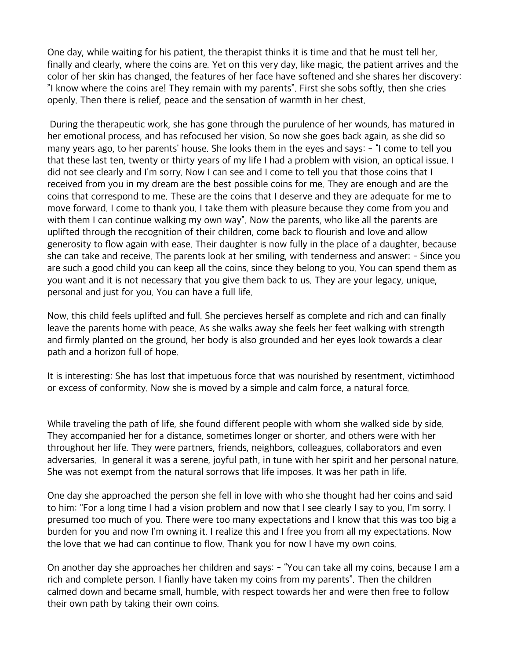One day, while waiting for his patient, the therapist thinks it is time and that he must tell her, finally and clearly, where the coins are. Yet on this very day, like magic, the patient arrives and the color of her skin has changed, the features of her face have softened and she shares her discovery: "I know where the coins are! They remain with my parents". First she sobs softly, then she cries openly. Then there is relief, peace and the sensation of warmth in her chest.

 During the therapeutic work, she has gone through the purulence of her wounds, has matured in her emotional process, and has refocused her vision. So now she goes back again, as she did so many years ago, to her parents' house. She looks them in the eyes and says: - "I come to tell you that these last ten, twenty or thirty years of my life I had a problem with vision, an optical issue. I did not see clearly and I'm sorry. Now I can see and I come to tell you that those coins that I received from you in my dream are the best possible coins for me. They are enough and are the coins that correspond to me. These are the coins that I deserve and they are adequate for me to move forward. I come to thank you. I take them with pleasure because they come from you and with them I can continue walking my own way". Now the parents, who like all the parents are uplifted through the recognition of their children, come back to flourish and love and allow generosity to flow again with ease. Their daughter is now fully in the place of a daughter, because she can take and receive. The parents look at her smiling, with tenderness and answer: - Since you are such a good child you can keep all the coins, since they belong to you. You can spend them as you want and it is not necessary that you give them back to us. They are your legacy, unique, personal and just for you. You can have a full life.

Now, this child feels uplifted and full. She percieves herself as complete and rich and can finally leave the parents home with peace. As she walks away she feels her feet walking with strength and firmly planted on the ground, her body is also grounded and her eyes look towards a clear path and a horizon full of hope.

It is interesting: She has lost that impetuous force that was nourished by resentment, victimhood or excess of conformity. Now she is moved by a simple and calm force, a natural force.

While traveling the path of life, she found different people with whom she walked side by side. They accompanied her for a distance, sometimes longer or shorter, and others were with her throughout her life. They were partners, friends, neighbors, colleagues, collaborators and even adversaries. In general it was a serene, joyful path, in tune with her spirit and her personal nature. She was not exempt from the natural sorrows that life imposes. It was her path in life.

One day she approached the person she fell in love with who she thought had her coins and said to him: "For a long time I had a vision problem and now that I see clearly I say to you, I'm sorry. I presumed too much of you. There were too many expectations and I know that this was too big a burden for you and now I'm owning it. I realize this and I free you from all my expectations. Now the love that we had can continue to flow. Thank you for now I have my own coins.

On another day she approaches her children and says: - "You can take all my coins, because I am a rich and complete person. I fianlly have taken my coins from my parents". Then the children calmed down and became small, humble, with respect towards her and were then free to follow their own path by taking their own coins.